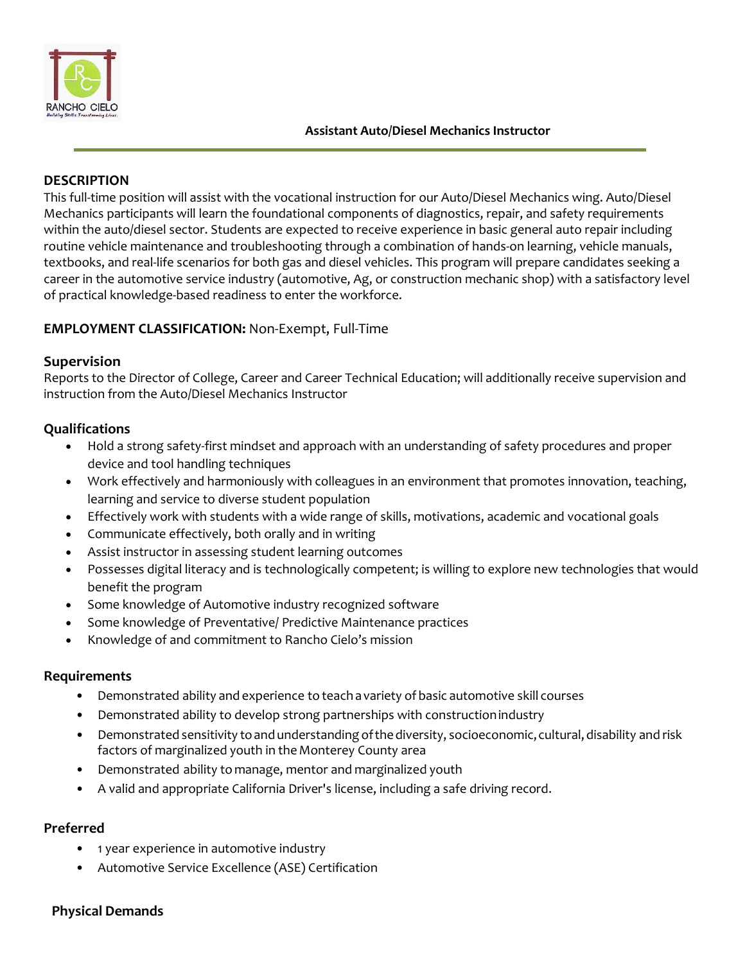

#### **Assistant Auto/Diesel Mechanics Instructor**

# **DESCRIPTION**

This full-time position will assist with the vocational instruction for our Auto/Diesel Mechanics wing. Auto/Diesel Mechanics participants will learn the foundational components of diagnostics, repair, and safety requirements within the auto/diesel sector. Students are expected to receive experience in basic general auto repair including routine vehicle maintenance and troubleshooting through a combination of hands-on learning, vehicle manuals, textbooks, and real-life scenarios for both gas and diesel vehicles. This program will prepare candidates seeking a career in the automotive service industry (automotive, Ag, or construction mechanic shop) with a satisfactory level of practical knowledge-based readiness to enter the workforce.

## **EMPLOYMENT CLASSIFICATION:** Non-Exempt, Full-Time

#### **Supervision**

Reports to the Director of College, Career and Career Technical Education; will additionally receive supervision and instruction from the Auto/Diesel Mechanics Instructor

## **Qualifications**

- Hold a strong safety-first mindset and approach with an understanding of safety procedures and proper device and tool handling techniques
- Work effectively and harmoniously with colleagues in an environment that promotes innovation, teaching, learning and service to diverse student population
- Effectively work with students with a wide range of skills, motivations, academic and vocational goals
- Communicate effectively, both orally and in writing
- Assist instructor in assessing student learning outcomes
- Possesses digital literacy and is technologically competent; is willing to explore new technologies that would benefit the program
- Some knowledge of Automotive industry recognized software
- Some knowledge of Preventative/ Predictive Maintenance practices
- Knowledge of and commitment to Rancho Cielo's mission

#### **Requirements**

- Demonstrated ability and experience to teach a variety of basic automotive skill courses
- Demonstrated ability to develop strong partnerships with constructionindustry
- Demonstrated sensitivity to and understanding of the diversity, socioeconomic, cultural, disability and risk factors of marginalized youth in the Monterey County area
- Demonstrated ability to manage, mentor and marginalized youth
- A valid and appropriate California Driver's license, including a safe driving record.

## **Preferred**

- 1 year experience in automotive industry
- Automotive Service Excellence (ASE) Certification

#### **Physical Demands**